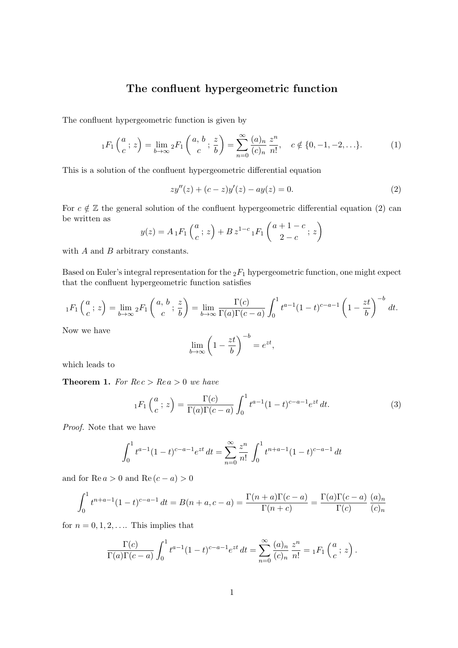## The confluent hypergeometric function

The confluent hypergeometric function is given by

$$
{}_1F_1\left(\frac{a}{c}\,;\,z\right) = \lim_{b \to \infty} {}_2F_1\left(\frac{a, b}{c}\,;\,\frac{z}{b}\right) = \sum_{n=0}^{\infty} \frac{(a)_n}{(c)_n} \frac{z^n}{n!}, \quad c \notin \{0, -1, -2, \ldots\}.
$$
 (1)

This is a solution of the confluent hypergeometric differential equation

$$
zy''(z) + (c - z)y'(z) - ay(z) = 0.
$$
 (2)

For  $c \notin \mathbb{Z}$  the general solution of the confluent hypergeometric differential equation (2) can be written as

$$
y(z) = A_1 F_1\left(\frac{a}{c}; z\right) + B z^{1-c} {}_1F_1\left(\frac{a+1-c}{2-c}; z\right)
$$

with  $A$  and  $B$  arbitrary constants.

Based on Euler's integral representation for the  $_2F_1$  hypergeometric function, one might expect that the confluent hypergeometric function satisfies

$$
{}_1F_1\left(\frac{a}{c}\,;\,z\right) = \lim_{b\to\infty} {}_2F_1\left(\frac{a,\,b}{c}\,;\,\frac{z}{b}\right) = \lim_{b\to\infty} \frac{\Gamma(c)}{\Gamma(a)\Gamma(c-a)} \int_0^1 t^{a-1}(1-t)^{c-a-1}\left(1-\frac{zt}{b}\right)^{-b} dt.
$$

Now we have

$$
\lim_{b \to \infty} \left( 1 - \frac{zt}{b} \right)^{-b} = e^{zt},
$$

which leads to

**Theorem 1.** For  $Rec > Re\ a > 0$  we have

$$
{}_1F_1\left(\frac{a}{c}\,;\,z\right) = \frac{\Gamma(c)}{\Gamma(a)\Gamma(c-a)} \int_0^1 t^{a-1} (1-t)^{c-a-1} e^{zt} \,dt. \tag{3}
$$

Proof. Note that we have

$$
\int_0^1 t^{a-1} (1-t)^{c-a-1} e^{zt} dt = \sum_{n=0}^\infty \frac{z^n}{n!} \int_0^1 t^{n+a-1} (1-t)^{c-a-1} dt
$$

and for  $\text{Re } a > 0$  and  $\text{Re } (c - a) > 0$ 

$$
\int_0^1 t^{n+a-1} (1-t)^{c-a-1} dt = B(n+a, c-a) = \frac{\Gamma(n+a)\Gamma(c-a)}{\Gamma(n+c)} = \frac{\Gamma(a)\Gamma(c-a)}{\Gamma(c)} \frac{(a)_n}{(c)_n}
$$

for  $n = 0, 1, 2, \ldots$  This implies that

$$
\frac{\Gamma(c)}{\Gamma(a)\Gamma(c-a)} \int_0^1 t^{a-1} (1-t)^{c-a-1} e^{zt} dt = \sum_{n=0}^\infty \frac{(a)_n}{(c)_n} \frac{z^n}{n!} = {}_1F_1\left(\frac{a}{c}; z\right).
$$